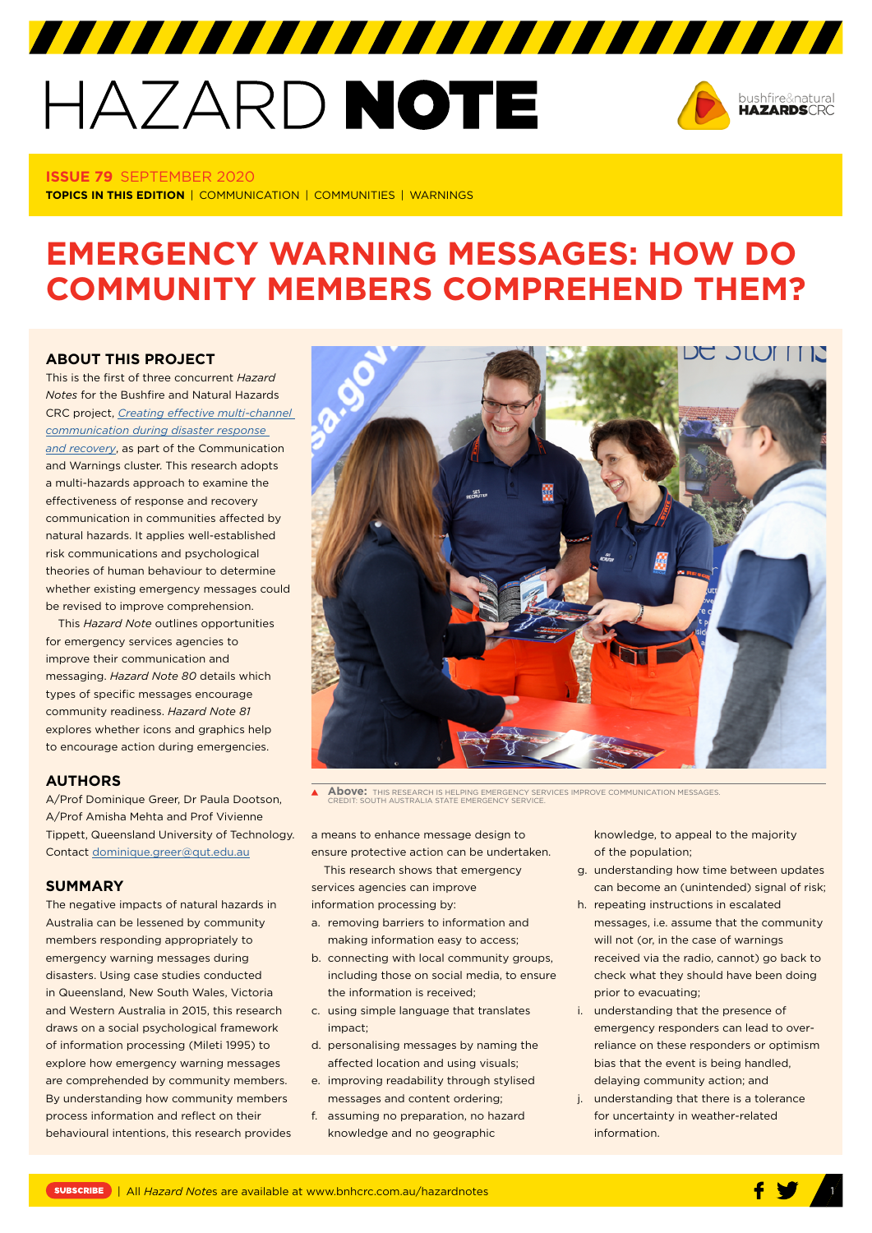# HAZARD NOTE



#### **ISSUE 79** SEPTEMBER 2020

**TOPICS IN THIS EDITION** | COMMUNICATION | COMMUNITIES | WARNINGS

## **EMERGENCY WARNING MESSAGES: HOW DO COMMUNITY MEMBERS COMPREHEND THEM?**

7777777777777777777777777777777

#### **ABOUT THIS PROJECT**

This is the first of three concurrent *Hazard Notes* for the Bushfire and Natural Hazards CRC project, *[Creating effective multi-channel](https://www.bnhcrc.com.au/research/hazard-resilience/239)  [communication during disaster response](https://www.bnhcrc.com.au/research/hazard-resilience/239)  [and recovery](https://www.bnhcrc.com.au/research/hazard-resilience/239)*, as part of the Communication and Warnings cluster. This research adopts a multi-hazards approach to examine the effectiveness of response and recovery communication in communities affected by natural hazards. It applies well-established risk communications and psychological theories of human behaviour to determine whether existing emergency messages could be revised to improve comprehension.

This *Hazard Note* outlines opportunities for emergency services agencies to improve their communication and messaging. *Hazard Note 80* details which types of specific messages encourage community readiness. *Hazard Note 81* explores whether icons and graphics help to encourage action during emergencies.

#### **AUTHORS**

A/Prof Dominique Greer, Dr Paula Dootson, A/Prof Amisha Mehta and Prof Vivienne Tippett, Queensland University of Technology. Contact [dominique.greer@qut.edu.au](mailto:dominique.greer@qut.edu.au)

#### **SUMMARY**

The negative impacts of natural hazards in Australia can be lessened by community members responding appropriately to emergency warning messages during disasters. Using case studies conducted in Queensland, New South Wales, Victoria and Western Australia in 2015, this research draws on a social psychological framework of information processing (Mileti 1995) to explore how emergency warning messages are comprehended by community members. By understanding how community members process information and reflect on their behavioural intentions, this research provides



**Above:** THIS RESEARCH IS HELPING EMERGENCY SERVICES IMPROVE COMMUNICATION MESSAGES. CREDIT: SOUTH AUSTRALIA STATE EMERGENCY SERVICE.

a means to enhance message design to ensure protective action can be undertaken.

This research shows that emergency services agencies can improve information processing by:

- a. removing barriers to information and making information easy to access;
- b. connecting with local community groups, including those on social media, to ensure the information is received;
- c. using simple language that translates impact;
- d. personalising messages by naming the affected location and using visuals;
- e. improving readability through stylised messages and content ordering;
- f. assuming no preparation, no hazard knowledge and no geographic

knowledge, to appeal to the majority of the population;

- g. understanding how time between updates can become an (unintended) signal of risk;
- h. repeating instructions in escalated messages, i.e. assume that the community will not (or, in the case of warnings received via the radio, cannot) go back to check what they should have been doing prior to evacuating;
- i. understanding that the presence of emergency responders can lead to overreliance on these responders or optimism bias that the event is being handled, delaying community action; and
- j. understanding that there is a tolerance for uncertainty in weather-related information.

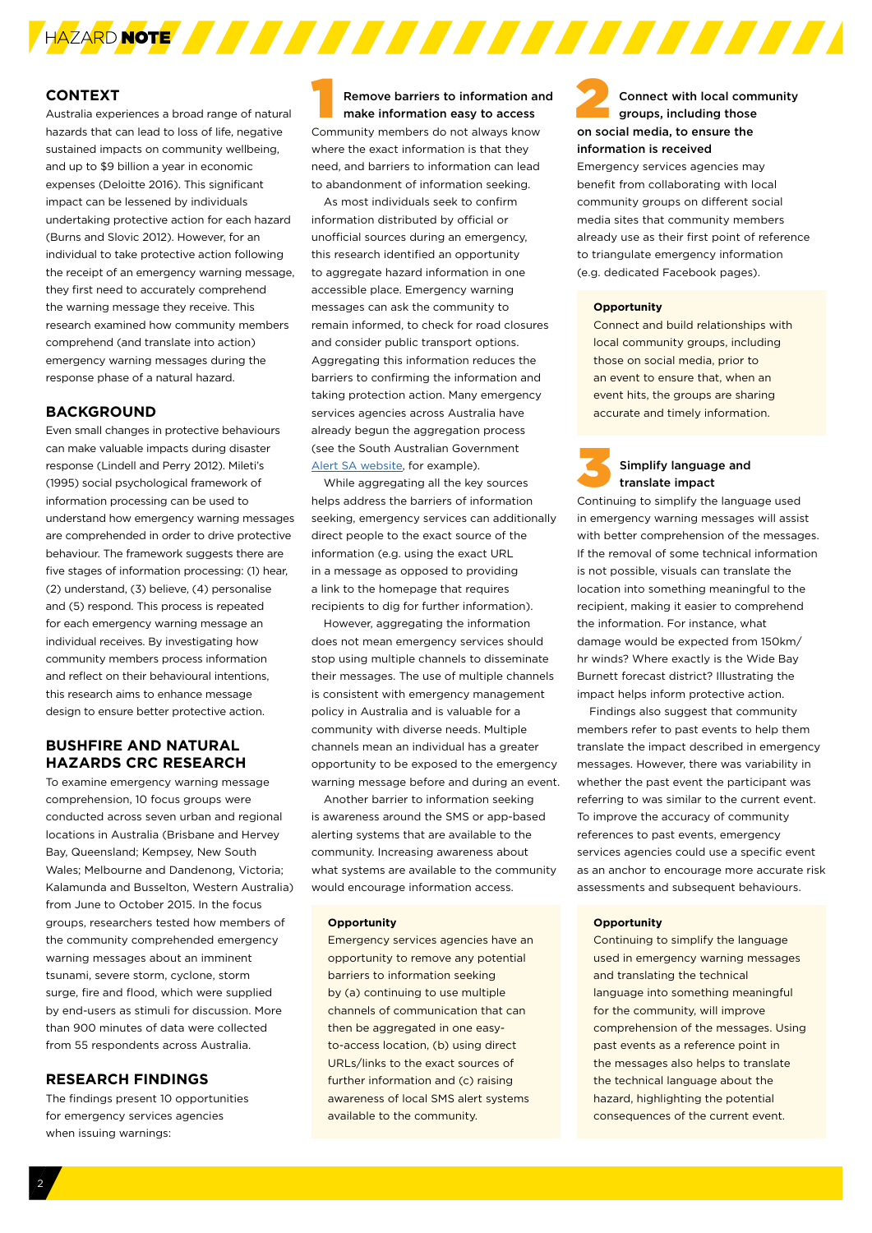

#### **CONTEXT**

Australia experiences a broad range of natural hazards that can lead to loss of life, negative sustained impacts on community wellbeing, and up to \$9 billion a year in economic expenses (Deloitte 2016). This significant impact can be lessened by individuals undertaking protective action for each hazard (Burns and Slovic 2012). However, for an individual to take protective action following the receipt of an emergency warning message, they first need to accurately comprehend the warning message they receive. This research examined how community members comprehend (and translate into action) emergency warning messages during the response phase of a natural hazard.

#### **BACKGROUND**

Even small changes in protective behaviours can make valuable impacts during disaster response (Lindell and Perry 2012). Mileti's (1995) social psychological framework of information processing can be used to understand how emergency warning messages are comprehended in order to drive protective behaviour. The framework suggests there are five stages of information processing: (1) hear, (2) understand, (3) believe, (4) personalise and (5) respond. This process is repeated for each emergency warning message an individual receives. By investigating how community members process information and reflect on their behavioural intentions, this research aims to enhance message design to ensure better protective action.

#### **BUSHFIRE AND NATURAL HAZARDS CRC RESEARCH**

To examine emergency warning message comprehension, 10 focus groups were conducted across seven urban and regional locations in Australia (Brisbane and Hervey Bay, Queensland; Kempsey, New South Wales; Melbourne and Dandenong, Victoria; Kalamunda and Busselton, Western Australia) from June to October 2015. In the focus groups, researchers tested how members of the community comprehended emergency warning messages about an imminent tsunami, severe storm, cyclone, storm surge, fire and flood, which were supplied by end-users as stimuli for discussion. More than 900 minutes of data were collected from 55 respondents across Australia.

#### **RESEARCH FINDINGS**

The findings present 10 opportunities for emergency services agencies when issuing warnings:

Remove barriers to information and make information easy to access Community members do not always know where the exact information is that they need, and barriers to information can lead to abandonment of information seeking.

As most individuals seek to confirm information distributed by official or unofficial sources during an emergency, this research identified an opportunity to aggregate hazard information in one accessible place. Emergency warning messages can ask the community to remain informed, to check for road closures and consider public transport options. Aggregating this information reduces the barriers to confirming the information and taking protection action. Many emergency services agencies across Australia have already begun the aggregation process (see the South Australian Government [Alert SA website,](http://www.alert.sa.gov.au) for example).

While aggregating all the key sources helps address the barriers of information seeking, emergency services can additionally direct people to the exact source of the information (e.g. using the exact URL in a message as opposed to providing a link to the homepage that requires recipients to dig for further information).

However, aggregating the information does not mean emergency services should stop using multiple channels to disseminate their messages. The use of multiple channels is consistent with emergency management policy in Australia and is valuable for a community with diverse needs. Multiple channels mean an individual has a greater opportunity to be exposed to the emergency warning message before and during an event.

Another barrier to information seeking is awareness around the SMS or app-based alerting systems that are available to the community. Increasing awareness about what systems are available to the community would encourage information access.

#### **Opportunity**

Emergency services agencies have an opportunity to remove any potential barriers to information seeking by (a) continuing to use multiple channels of communication that can then be aggregated in one easyto-access location, (b) using direct URLs/links to the exact sources of further information and (c) raising awareness of local SMS alert systems available to the community.

#### Connect with local community groups, including those on social media, to ensure the information is received

Emergency services agencies may benefit from collaborating with local community groups on different social media sites that community members already use as their first point of reference to triangulate emergency information (e.g. dedicated Facebook pages).

#### **Opportunity**

Connect and build relationships with local community groups, including those on social media, prior to an event to ensure that, when an event hits, the groups are sharing accurate and timely information.

#### 3 Simplify language and translate impact

Continuing to simplify the language used in emergency warning messages will assist with better comprehension of the messages. If the removal of some technical information is not possible, visuals can translate the location into something meaningful to the recipient, making it easier to comprehend the information. For instance, what damage would be expected from 150km/ hr winds? Where exactly is the Wide Bay Burnett forecast district? Illustrating the impact helps inform protective action.

Findings also suggest that community members refer to past events to help them translate the impact described in emergency messages. However, there was variability in whether the past event the participant was referring to was similar to the current event. To improve the accuracy of community references to past events, emergency services agencies could use a specific event as an anchor to encourage more accurate risk assessments and subsequent behaviours.

#### **Opportunity**

Continuing to simplify the language used in emergency warning messages and translating the technical language into something meaningful for the community, will improve comprehension of the messages. Using past events as a reference point in the messages also helps to translate the technical language about the hazard, highlighting the potential consequences of the current event.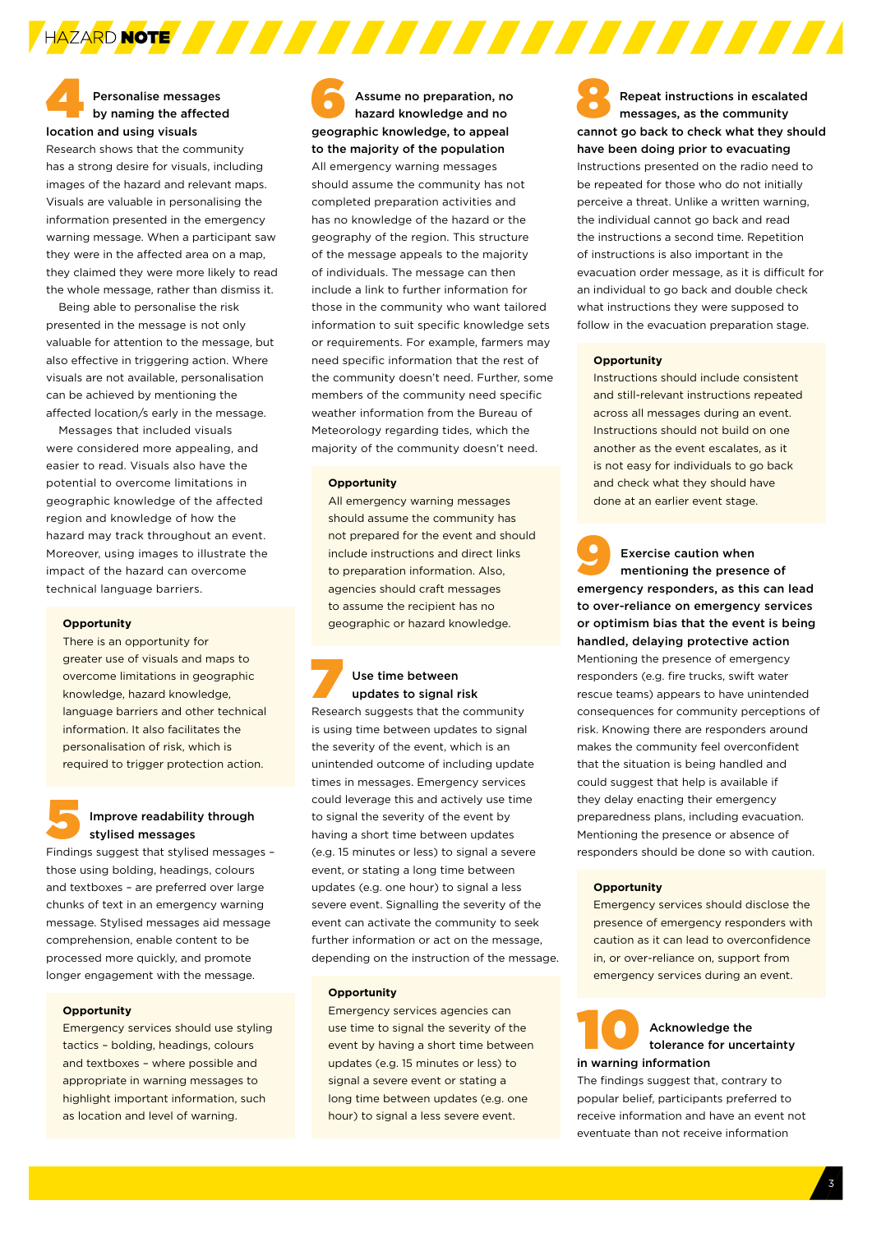#### 4Personalise messages by naming the affected location and using visuals

Research shows that the community has a strong desire for visuals, including images of the hazard and relevant maps. Visuals are valuable in personalising the information presented in the emergency warning message. When a participant saw they were in the affected area on a map, they claimed they were more likely to read the whole message, rather than dismiss it.

Being able to personalise the risk presented in the message is not only valuable for attention to the message, but also effective in triggering action. Where visuals are not available, personalisation can be achieved by mentioning the affected location/s early in the message.

Messages that included visuals were considered more appealing, and easier to read. Visuals also have the potential to overcome limitations in geographic knowledge of the affected region and knowledge of how the hazard may track throughout an event. Moreover, using images to illustrate the impact of the hazard can overcome technical language barriers.

#### **Opportunity**

There is an opportunity for greater use of visuals and maps to overcome limitations in geographic knowledge, hazard knowledge, language barriers and other technical information. It also facilitates the personalisation of risk, which is required to trigger protection action.

#### 5Improve readability through stylised messages

Findings suggest that stylised messages – those using bolding, headings, colours and textboxes – are preferred over large chunks of text in an emergency warning message. Stylised messages aid message comprehension, enable content to be processed more quickly, and promote longer engagement with the message.

#### **Opportunity**

Emergency services should use styling tactics – bolding, headings, colours and textboxes – where possible and appropriate in warning messages to highlight important information, such as location and level of warning.

Assume no preparation, no hazard knowledge and no geographic knowledge, to appeal to the majority of the population All emergency warning messages should assume the community has not completed preparation activities and has no knowledge of the hazard or the geography of the region. This structure of the message appeals to the majority of individuals. The message can then include a link to further information for those in the community who want tailored information to suit specific knowledge sets or requirements. For example, farmers may need specific information that the rest of the community doesn't need. Further, some members of the community need specific weather information from the Bureau of Meteorology regarding tides, which the majority of the community doesn't need.

AZARD NOTE **A STATISTICI A PRODUCTI A STATISTICI A PRODUCTI A PRODUCTI A PRODUCTI A PRODUCTI A PRODUCTI A PRODUCTI** 

#### **Opportunity**

All emergency warning messages should assume the community has not prepared for the event and should include instructions and direct links to preparation information. Also, agencies should craft messages to assume the recipient has no geographic or hazard knowledge.

# **7** Use time between<br>updates to signal risk

Research suggests that the community is using time between updates to signal the severity of the event, which is an unintended outcome of including update times in messages. Emergency services could leverage this and actively use time to signal the severity of the event by having a short time between updates (e.g. 15 minutes or less) to signal a severe event, or stating a long time between updates (e.g. one hour) to signal a less severe event. Signalling the severity of the event can activate the community to seek further information or act on the message, depending on the instruction of the message.

#### **Opportunity**

Emergency services agencies can use time to signal the severity of the event by having a short time between updates (e.g. 15 minutes or less) to signal a severe event or stating a long time between updates (e.g. one hour) to signal a less severe event.

Repeat instructions in escalated messages, as the community cannot go back to check what they should have been doing prior to evacuating Instructions presented on the radio need to be repeated for those who do not initially perceive a threat. Unlike a written warning, the individual cannot go back and read the instructions a second time. Repetition of instructions is also important in the evacuation order message, as it is difficult for an individual to go back and double check what instructions they were supposed to follow in the evacuation preparation stage.

#### **Opportunity**

Instructions should include consistent and still-relevant instructions repeated across all messages during an event. Instructions should not build on one another as the event escalates, as it is not easy for individuals to go back and check what they should have done at an earlier event stage.

Exercise caution when<br>
mentioning the presence of emergency responders, as this can lead to over-reliance on emergency services or optimism bias that the event is being handled, delaying protective action Mentioning the presence of emergency responders (e.g. fire trucks, swift water rescue teams) appears to have unintended consequences for community perceptions of risk. Knowing there are responders around makes the community feel overconfident that the situation is being handled and could suggest that help is available if they delay enacting their emergency preparedness plans, including evacuation. Mentioning the presence or absence of responders should be done so with caution.

#### **Opportunity**

Emergency services should disclose the presence of emergency responders with caution as it can lead to overconfidence in, or over-reliance on, support from emergency services during an event.

### **10 Acknowledge the Reduce to the Reduce of Acknowledge the Reduce 2013** in warning information

The findings suggest that, contrary to popular belief, participants preferred to receive information and have an event not eventuate than not receive information